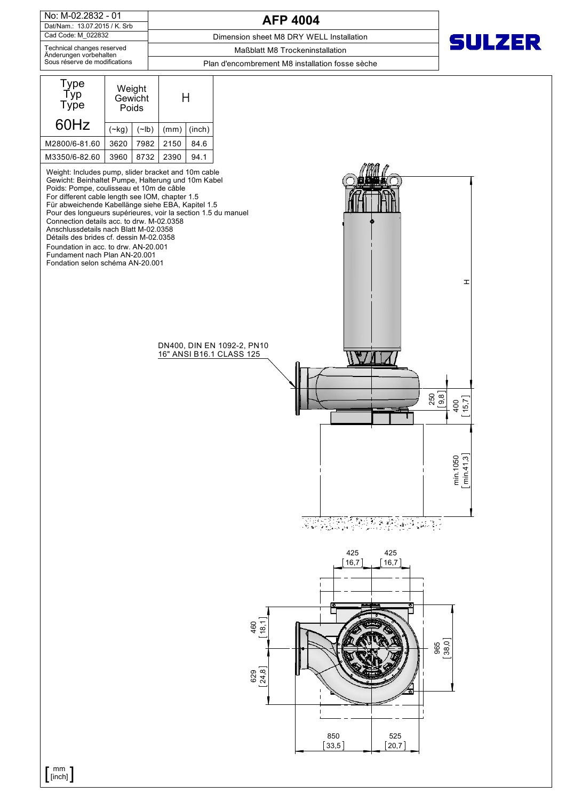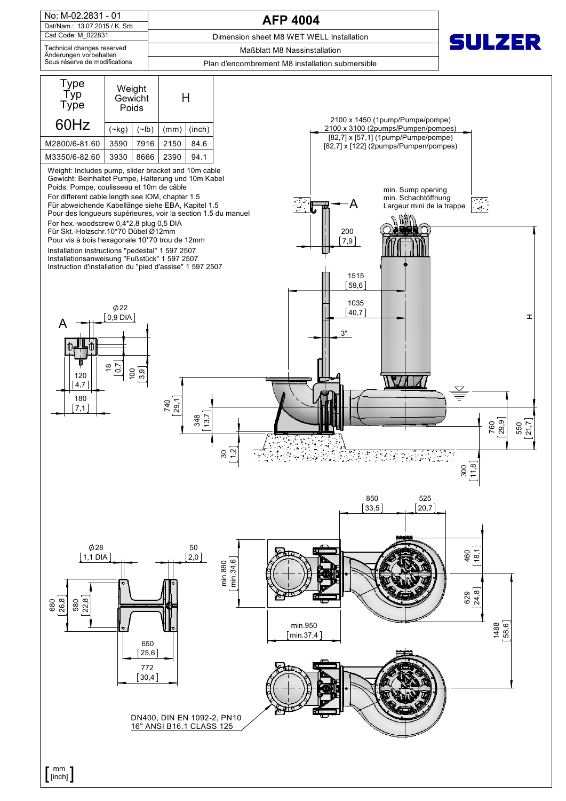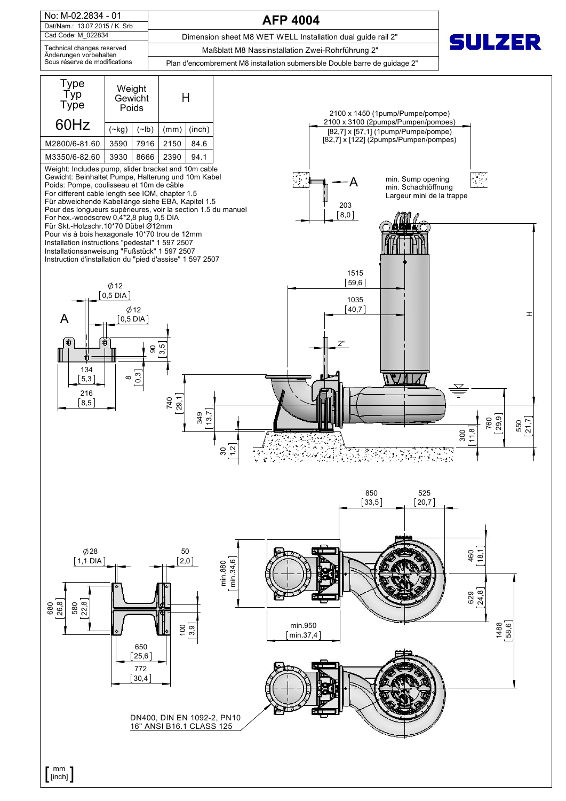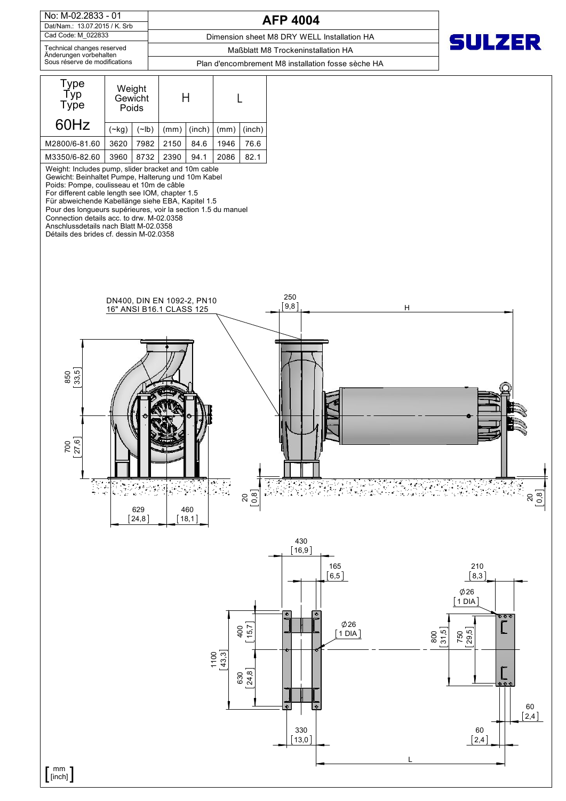